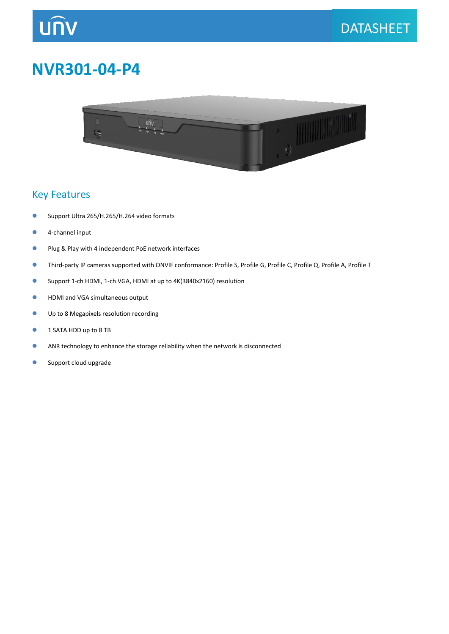# **UNV**

### **NVR301-04-P4**



#### Key Features

- **Support Ultra 265/H.265/H.264 video formats**
- **4**-channel input
- **Plug & Play with 4 independent PoE network interfaces**
- Third-party IP cameras supported with ONVIF conformance: Profile S, Profile G, Profile C, Profile Q, Profile A, Profile T
- Support 1-ch HDMI, 1-ch VGA, HDMI at up to 4K(3840x2160) resolution
- **HDMI and VGA simultaneous output**
- Up to 8 Megapixels resolution recording
- **1 SATA HDD up to 8 TB**
- **ANR technology to enhance the storage reliability when the network is disconnected**
- **Support cloud upgrade**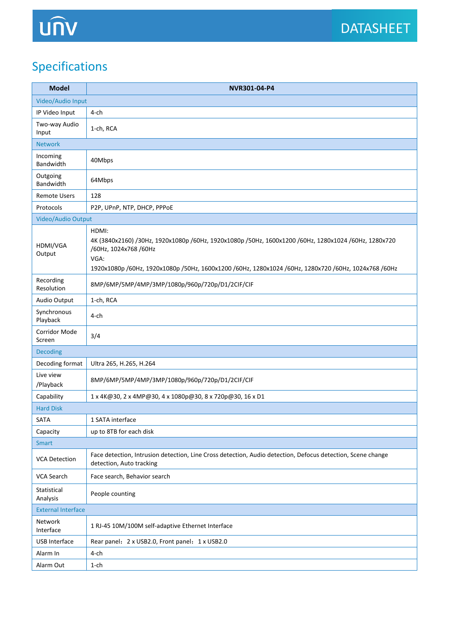### Specifications

| <b>Model</b>              | NVR301-04-P4                                                                                                                                                                                                                                           |  |
|---------------------------|--------------------------------------------------------------------------------------------------------------------------------------------------------------------------------------------------------------------------------------------------------|--|
| Video/Audio Input         |                                                                                                                                                                                                                                                        |  |
| IP Video Input            | 4-ch                                                                                                                                                                                                                                                   |  |
| Two-way Audio<br>Input    | 1-ch, RCA                                                                                                                                                                                                                                              |  |
| <b>Network</b>            |                                                                                                                                                                                                                                                        |  |
| Incoming<br>Bandwidth     | 40Mbps                                                                                                                                                                                                                                                 |  |
| Outgoing<br>Bandwidth     | 64Mbps                                                                                                                                                                                                                                                 |  |
| <b>Remote Users</b>       | 128                                                                                                                                                                                                                                                    |  |
| Protocols                 | P2P, UPnP, NTP, DHCP, PPPoE                                                                                                                                                                                                                            |  |
| Video/Audio Output        |                                                                                                                                                                                                                                                        |  |
| HDMI/VGA<br>Output        | HDMI:<br>4K (3840x2160) /30Hz, 1920x1080p /60Hz, 1920x1080p /50Hz, 1600x1200 /60Hz, 1280x1024 /60Hz, 1280x720<br>/60Hz, 1024x768 /60Hz<br>VGA:<br>1920x1080p /60Hz, 1920x1080p /50Hz, 1600x1200 /60Hz, 1280x1024 /60Hz, 1280x720 /60Hz, 1024x768 /60Hz |  |
| Recording<br>Resolution   | 8MP/6MP/5MP/4MP/3MP/1080p/960p/720p/D1/2CIF/CIF                                                                                                                                                                                                        |  |
| Audio Output              | 1-ch, RCA                                                                                                                                                                                                                                              |  |
| Synchronous<br>Playback   | 4-ch                                                                                                                                                                                                                                                   |  |
| Corridor Mode<br>Screen   | 3/4                                                                                                                                                                                                                                                    |  |
| <b>Decoding</b>           |                                                                                                                                                                                                                                                        |  |
| Decoding format           | Ultra 265, H.265, H.264                                                                                                                                                                                                                                |  |
| Live view<br>/Playback    | 8MP/6MP/5MP/4MP/3MP/1080p/960p/720p/D1/2CIF/CIF                                                                                                                                                                                                        |  |
| Capability                | 1 x 4K@30, 2 x 4MP@30, 4 x 1080p@30, 8 x 720p@30, 16 x D1                                                                                                                                                                                              |  |
| <b>Hard Disk</b>          |                                                                                                                                                                                                                                                        |  |
| SATA                      | 1 SATA interface                                                                                                                                                                                                                                       |  |
| Capacity                  | up to 8TB for each disk                                                                                                                                                                                                                                |  |
| <b>Smart</b>              |                                                                                                                                                                                                                                                        |  |
| <b>VCA Detection</b>      | Face detection, Intrusion detection, Line Cross detection, Audio detection, Defocus detection, Scene change<br>detection, Auto tracking                                                                                                                |  |
| VCA Search                | Face search, Behavior search                                                                                                                                                                                                                           |  |
| Statistical<br>Analysis   | People counting                                                                                                                                                                                                                                        |  |
| <b>External Interface</b> |                                                                                                                                                                                                                                                        |  |
| Network<br>Interface      | 1 RJ-45 10M/100M self-adaptive Ethernet Interface                                                                                                                                                                                                      |  |
| USB Interface             | Rear panel: 2 x USB2.0, Front panel: 1 x USB2.0                                                                                                                                                                                                        |  |
| Alarm In                  | 4-ch                                                                                                                                                                                                                                                   |  |
| Alarm Out                 | $1$ -ch                                                                                                                                                                                                                                                |  |